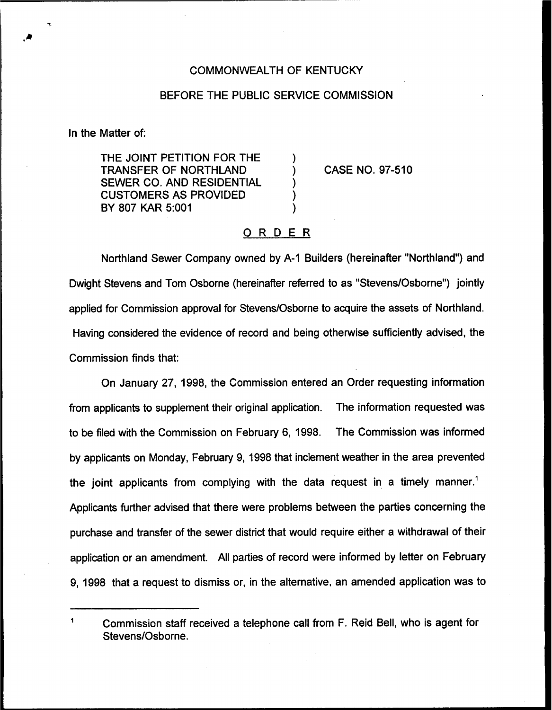## COMMONWEALTH OF KENTUCKY

## BEFORE THE PUBLIC SERVICE COMMISSION

In the Matter of:

THE JOINT PETITION FOR THE TRANSFER OF NORTHLAND SEWER CO. AND RESIDENTIAL CUSTOMERS AS PROVIDED BY 807 KAR 5:001

CASE NO. 97-510

## ORDER

 $\lambda$ 

Northland Sewer Company owned by A-1 Builders (hereinafter "Northland") and Dwight Stevens and Tom Osborne (hereinafter referred to as "Stevens/Osborne") jointly applied for Commission approval for Stevens/Osborne to acquire the assets of Northland. Having considered the evidence of record and being otherwise sufficiently advised, the Commission finds that:

On January 27, 1998, the Commission entered an Order requesting information from applicants to supplement their original application. The information requested was to be filed with the Commission on February 6, 1998. The Commission was informed by applicants on Monday, February 9, 1998 that inclement weather in the area prevented the joint applicants from complying with the data request in a timely manner." Applicants further advised that there were problems between the parties concerning the purchase and transfer of the sewer district that would require either a withdrawal of their application or an amendment. All parties of record were informed by letter on February 9, 1998 that a request to dismiss or, in the alternative, an amended application was to

 $\mathbf{1}$ Commission staff received a telephone call from F. Reid Bell, who is agent for Stevens/Osborne.